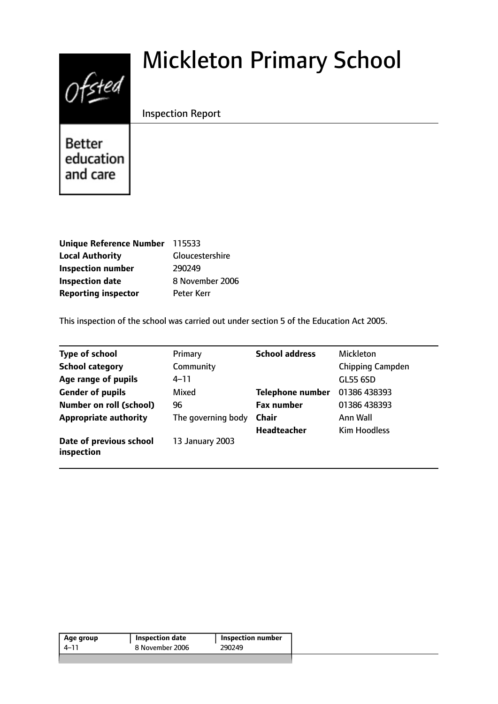# $0$ fsted

# Mickleton Primary School

# Inspection Report

**Better** education and care

| Unique Reference Number 115533 |                 |
|--------------------------------|-----------------|
| <b>Local Authority</b>         | Gloucestershire |
| <b>Inspection number</b>       | 290249          |
| <b>Inspection date</b>         | 8 November 2006 |
| <b>Reporting inspector</b>     | Peter Kerr      |

This inspection of the school was carried out under section 5 of the Education Act 2005.

| <b>Type of school</b>                 | Primary            | <b>School address</b>   | <b>Mickleton</b>        |
|---------------------------------------|--------------------|-------------------------|-------------------------|
| <b>School category</b>                | Community          |                         | <b>Chipping Campden</b> |
| Age range of pupils                   | $4 - 11$           |                         | <b>GL55 6SD</b>         |
| <b>Gender of pupils</b>               | Mixed              | <b>Telephone number</b> | 01386 438393            |
| <b>Number on roll (school)</b>        | 96                 | <b>Fax number</b>       | 01386 438393            |
| <b>Appropriate authority</b>          | The governing body | <b>Chair</b>            | Ann Wall                |
|                                       |                    | <b>Headteacher</b>      | Kim Hoodless            |
| Date of previous school<br>inspection | 13 January 2003    |                         |                         |

| 8 November 2006<br>290249<br>4–11 | Age group | <b>Inspection date</b> | <b>Inspection number</b> |
|-----------------------------------|-----------|------------------------|--------------------------|
|                                   |           |                        |                          |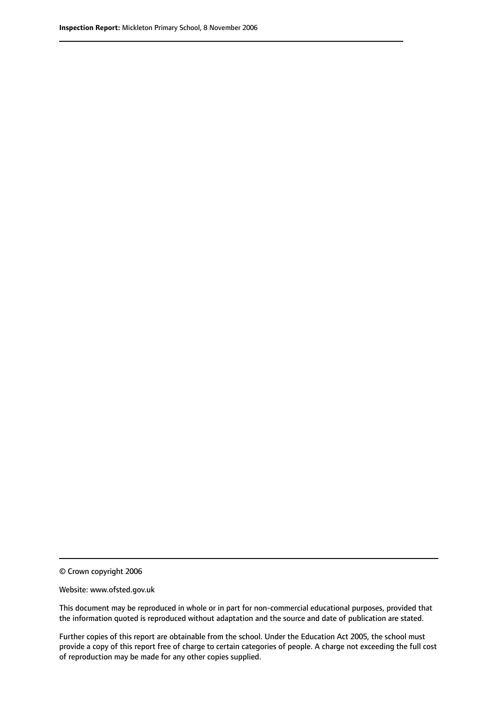© Crown copyright 2006

Website: www.ofsted.gov.uk

This document may be reproduced in whole or in part for non-commercial educational purposes, provided that the information quoted is reproduced without adaptation and the source and date of publication are stated.

Further copies of this report are obtainable from the school. Under the Education Act 2005, the school must provide a copy of this report free of charge to certain categories of people. A charge not exceeding the full cost of reproduction may be made for any other copies supplied.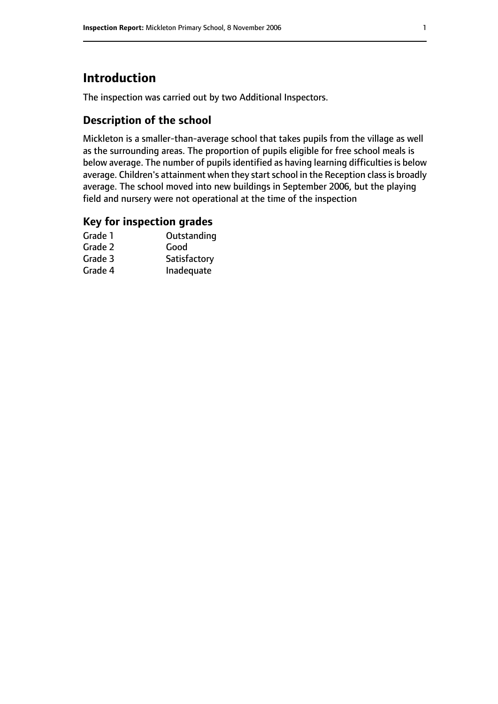# **Introduction**

The inspection was carried out by two Additional Inspectors.

# **Description of the school**

Mickleton is a smaller-than-average school that takes pupils from the village as well as the surrounding areas. The proportion of pupils eligible for free school meals is below average. The number of pupils identified as having learning difficulties is below average. Children's attainment when they start school in the Reception class is broadly average. The school moved into new buildings in September 2006, but the playing field and nursery were not operational at the time of the inspection

#### **Key for inspection grades**

| Grade 1 | Outstanding  |
|---------|--------------|
| Grade 2 | Good         |
| Grade 3 | Satisfactory |
| Grade 4 | Inadequate   |
|         |              |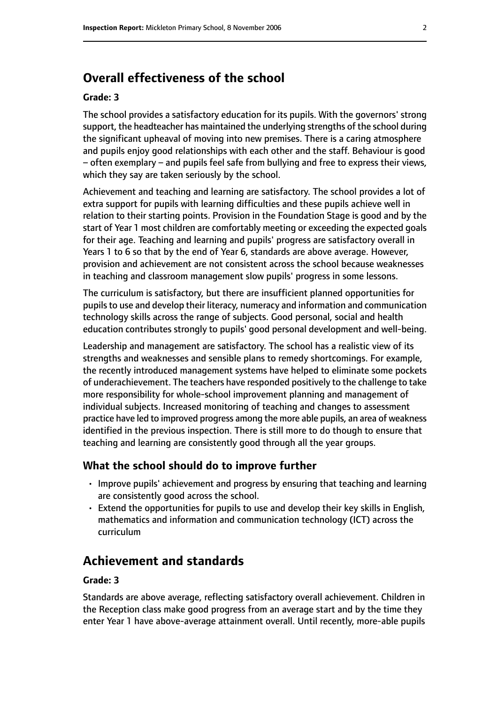# **Overall effectiveness of the school**

#### **Grade: 3**

The school provides a satisfactory education for its pupils. With the governors' strong support, the headteacher has maintained the underlying strengths of the school during the significant upheaval of moving into new premises. There is a caring atmosphere and pupils enjoy good relationships with each other and the staff. Behaviour is good - often exemplary - and pupils feel safe from bullying and free to express their views, which they say are taken seriously by the school.

Achievement and teaching and learning are satisfactory. The school provides a lot of extra support for pupils with learning difficulties and these pupils achieve well in relation to their starting points. Provision in the Foundation Stage is good and by the start of Year 1 most children are comfortably meeting or exceeding the expected goals for their age. Teaching and learning and pupils' progress are satisfactory overall in Years 1 to 6 so that by the end of Year 6, standards are above average. However, provision and achievement are not consistent across the school because weaknesses in teaching and classroom management slow pupils' progress in some lessons.

The curriculum is satisfactory, but there are insufficient planned opportunities for pupils to use and develop their literacy, numeracy and information and communication technology skills across the range of subjects. Good personal, social and health education contributes strongly to pupils' good personal development and well-being.

Leadership and management are satisfactory. The school has a realistic view of its strengths and weaknesses and sensible plans to remedy shortcomings. For example, the recently introduced management systems have helped to eliminate some pockets of underachievement. The teachers have responded positively to the challenge to take more responsibility for whole-school improvement planning and management of individual subjects. Increased monitoring of teaching and changes to assessment practice have led to improved progress among the more able pupils, an area of weakness identified in the previous inspection. There is still more to do though to ensure that teaching and learning are consistently good through all the year groups.

#### **What the school should do to improve further**

- Improve pupils' achievement and progress by ensuring that teaching and learning are consistently good across the school.
- Extend the opportunities for pupils to use and develop their key skills in English, mathematics and information and communication technology (ICT) across the curriculum

# **Achievement and standards**

#### **Grade: 3**

Standards are above average, reflecting satisfactory overall achievement. Children in the Reception class make good progress from an average start and by the time they enter Year 1 have above-average attainment overall. Until recently, more-able pupils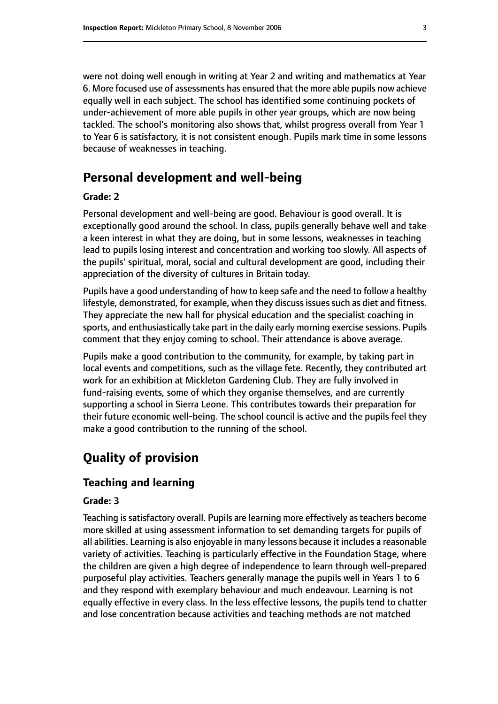were not doing well enough in writing at Year 2 and writing and mathematics at Year 6. More focused use of assessments has ensured that the more able pupils now achieve equally well in each subject. The school has identified some continuing pockets of under-achievement of more able pupils in other year groups, which are now being tackled. The school's monitoring also shows that, whilst progress overall from Year 1 to Year 6 is satisfactory, it is not consistent enough. Pupils mark time in some lessons because of weaknesses in teaching.

#### **Personal development and well-being**

#### **Grade: 2**

Personal development and well-being are good. Behaviour is good overall. It is exceptionally good around the school. In class, pupils generally behave well and take a keen interest in what they are doing, but in some lessons, weaknesses in teaching lead to pupils losing interest and concentration and working too slowly. All aspects of the pupils' spiritual, moral, social and cultural development are good, including their appreciation of the diversity of cultures in Britain today.

Pupils have a good understanding of how to keep safe and the need to follow a healthy lifestyle, demonstrated, for example, when they discuss issues such as diet and fitness. They appreciate the new hall for physical education and the specialist coaching in sports, and enthusiastically take part in the daily early morning exercise sessions. Pupils comment that they enjoy coming to school. Their attendance is above average.

Pupils make a good contribution to the community, for example, by taking part in local events and competitions, such as the village fete. Recently, they contributed art work for an exhibition at Mickleton Gardening Club. They are fully involved in fund-raising events, some of which they organise themselves, and are currently supporting a school in Sierra Leone. This contributes towards their preparation for their future economic well-being. The school council is active and the pupils feel they make a good contribution to the running of the school.

# **Quality of provision**

#### **Teaching and learning**

#### **Grade: 3**

Teaching is satisfactory overall. Pupils are learning more effectively as teachers become more skilled at using assessment information to set demanding targets for pupils of all abilities. Learning is also enjoyable in many lessons because it includes a reasonable variety of activities. Teaching is particularly effective in the Foundation Stage, where the children are given a high degree of independence to learn through well-prepared purposeful play activities. Teachers generally manage the pupils well in Years 1 to 6 and they respond with exemplary behaviour and much endeavour. Learning is not equally effective in every class. In the less effective lessons, the pupils tend to chatter and lose concentration because activities and teaching methods are not matched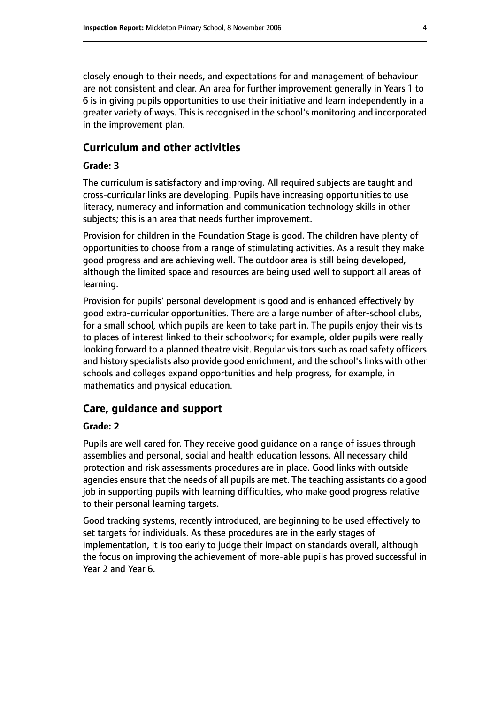closely enough to their needs, and expectations for and management of behaviour are not consistent and clear. An area for further improvement generally in Years 1 to 6 is in giving pupils opportunities to use their initiative and learn independently in a greater variety of ways. This is recognised in the school's monitoring and incorporated in the improvement plan.

#### **Curriculum and other activities**

#### **Grade: 3**

The curriculum is satisfactory and improving. All required subjects are taught and cross-curricular links are developing. Pupils have increasing opportunities to use literacy, numeracy and information and communication technology skills in other subjects; this is an area that needs further improvement.

Provision for children in the Foundation Stage is good. The children have plenty of opportunities to choose from a range of stimulating activities. As a result they make good progress and are achieving well. The outdoor area is still being developed, although the limited space and resources are being used well to support all areas of learning.

Provision for pupils' personal development is good and is enhanced effectively by good extra-curricular opportunities. There are a large number of after-school clubs, for a small school, which pupils are keen to take part in. The pupils enjoy their visits to places of interest linked to their schoolwork; for example, older pupils were really looking forward to a planned theatre visit. Regular visitors such as road safety officers and history specialists also provide good enrichment, and the school's links with other schools and colleges expand opportunities and help progress, for example, in mathematics and physical education.

#### **Care, guidance and support**

#### **Grade: 2**

Pupils are well cared for. They receive good guidance on a range of issues through assemblies and personal, social and health education lessons. All necessary child protection and risk assessments procedures are in place. Good links with outside agencies ensure that the needs of all pupils are met. The teaching assistants do a good job in supporting pupils with learning difficulties, who make good progress relative to their personal learning targets.

Good tracking systems, recently introduced, are beginning to be used effectively to set targets for individuals. As these procedures are in the early stages of implementation, it is too early to judge their impact on standards overall, although the focus on improving the achievement of more-able pupils has proved successful in Year 2 and Year 6.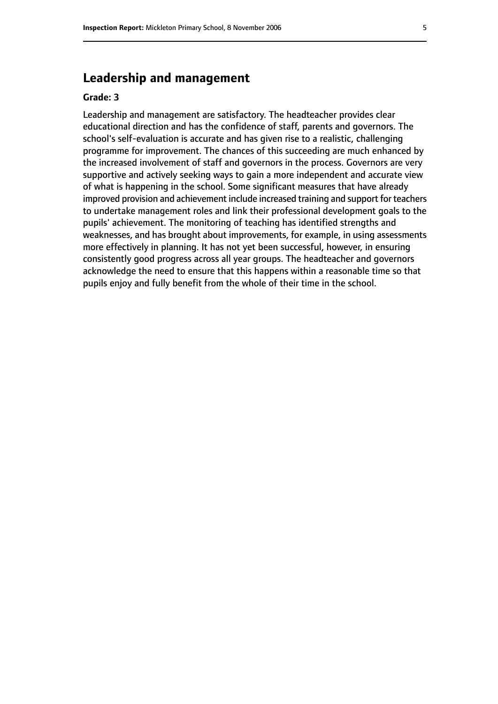# **Leadership and management**

#### **Grade: 3**

Leadership and management are satisfactory. The headteacher provides clear educational direction and has the confidence of staff, parents and governors. The school's self-evaluation is accurate and has given rise to a realistic, challenging programme for improvement. The chances of this succeeding are much enhanced by the increased involvement of staff and governors in the process. Governors are very supportive and actively seeking ways to gain a more independent and accurate view of what is happening in the school. Some significant measures that have already improved provision and achievement include increased training and support for teachers to undertake management roles and link their professional development goals to the pupils' achievement. The monitoring of teaching has identified strengths and weaknesses, and has brought about improvements, for example, in using assessments more effectively in planning. It has not yet been successful, however, in ensuring consistently good progress across all year groups. The headteacher and governors acknowledge the need to ensure that this happens within a reasonable time so that pupils enjoy and fully benefit from the whole of their time in the school.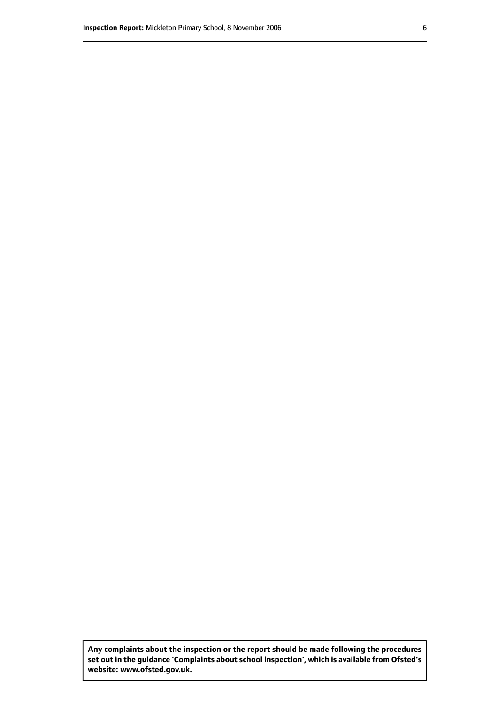**Any complaints about the inspection or the report should be made following the procedures set out inthe guidance 'Complaints about school inspection', whichis available from Ofsted's website: www.ofsted.gov.uk.**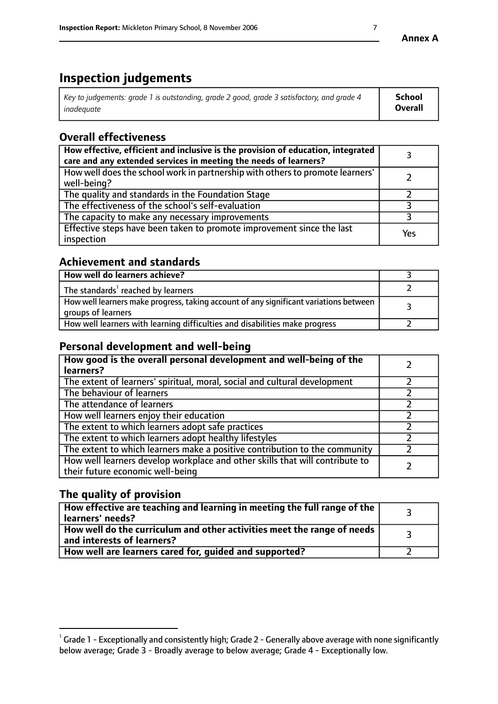# **Inspection judgements**

| Key to judgements: grade 1 is outstanding, grade 2 good, grade 3 satisfactory, and grade 4 | <b>School</b>  |
|--------------------------------------------------------------------------------------------|----------------|
| inadeauate                                                                                 | <b>Overall</b> |

# **Overall effectiveness**

| How effective, efficient and inclusive is the provision of education, integrated<br>care and any extended services in meeting the needs of learners? |     |
|------------------------------------------------------------------------------------------------------------------------------------------------------|-----|
| How well does the school work in partnership with others to promote learners'<br>well-being?                                                         |     |
| The quality and standards in the Foundation Stage                                                                                                    |     |
| The effectiveness of the school's self-evaluation                                                                                                    |     |
| The capacity to make any necessary improvements                                                                                                      |     |
| Effective steps have been taken to promote improvement since the last<br>inspection                                                                  | Yes |

## **Achievement and standards**

| How well do learners achieve?                                                                               |  |
|-------------------------------------------------------------------------------------------------------------|--|
| The standards <sup>1</sup> reached by learners                                                              |  |
| How well learners make progress, taking account of any significant variations between<br>groups of learners |  |
| How well learners with learning difficulties and disabilities make progress                                 |  |

# **Personal development and well-being**

| How good is the overall personal development and well-being of the<br>learners?                                  |  |
|------------------------------------------------------------------------------------------------------------------|--|
| The extent of learners' spiritual, moral, social and cultural development                                        |  |
| The behaviour of learners                                                                                        |  |
| The attendance of learners                                                                                       |  |
| How well learners enjoy their education                                                                          |  |
| The extent to which learners adopt safe practices                                                                |  |
| The extent to which learners adopt healthy lifestyles                                                            |  |
| The extent to which learners make a positive contribution to the community                                       |  |
| How well learners develop workplace and other skills that will contribute to<br>their future economic well-being |  |

# **The quality of provision**

| How effective are teaching and learning in meeting the full range of the<br>  learners' needs?                      |  |
|---------------------------------------------------------------------------------------------------------------------|--|
| $\mid$ How well do the curriculum and other activities meet the range of needs<br>$\mid$ and interests of learners? |  |
| How well are learners cared for, quided and supported?                                                              |  |

 $^1$  Grade 1 - Exceptionally and consistently high; Grade 2 - Generally above average with none significantly below average; Grade 3 - Broadly average to below average; Grade 4 - Exceptionally low.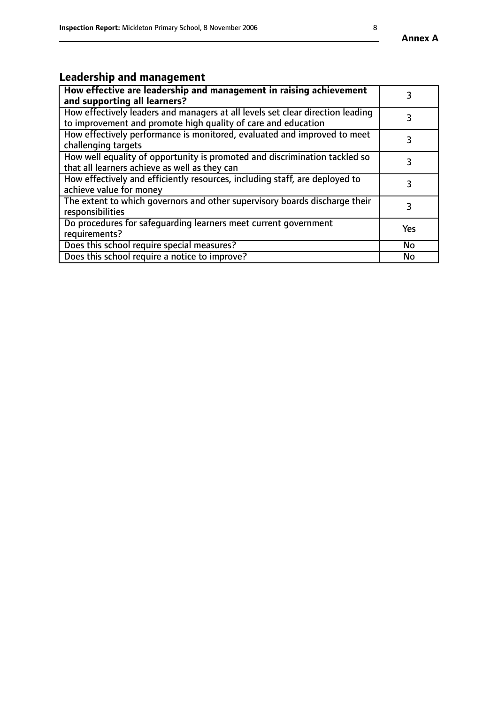# **Leadership and management**

| How effective are leadership and management in raising achievement<br>and supporting all learners?                                              |     |
|-------------------------------------------------------------------------------------------------------------------------------------------------|-----|
| How effectively leaders and managers at all levels set clear direction leading<br>to improvement and promote high quality of care and education |     |
| How effectively performance is monitored, evaluated and improved to meet<br>challenging targets                                                 | 3   |
| How well equality of opportunity is promoted and discrimination tackled so<br>that all learners achieve as well as they can                     |     |
| How effectively and efficiently resources, including staff, are deployed to<br>achieve value for money                                          | З   |
| The extent to which governors and other supervisory boards discharge their<br>responsibilities                                                  | 3   |
| Do procedures for safequarding learners meet current government<br>requirements?                                                                | Yes |
| Does this school require special measures?                                                                                                      | No  |
| Does this school require a notice to improve?                                                                                                   | No  |